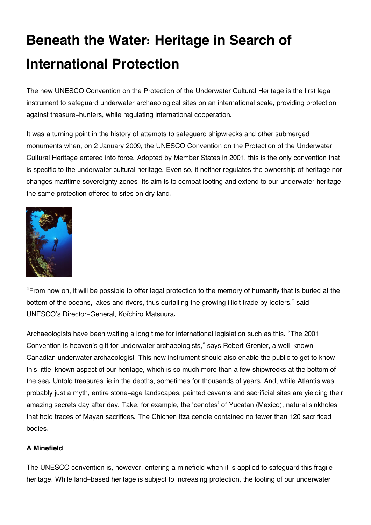# **Beneath the Water: Heritage in Search of International Protection**

The new UNESCO Convention on the Protection of the Underwater Cultural Heritage is the first legal instrument to safeguard underwater archaeological sites on an international scale, providing protection against treasure-hunters, while regulating international cooperation.

It was a turning point in the history of attempts to safeguard shipwrecks and other submerged monuments when, on 2 January 2009, the UNESCO Convention on the Protection of the Underwater Cultural Heritage entered into force. Adopted by Member States in 2001, this is the only convention that is specific to the underwater cultural heritage. Even so, it neither regulates the ownership of heritage nor changes maritime sovereignty zones. Its aim is to combat looting and extend to our underwater heritage the same protection offered to sites on dry land.



"From now on, it will be possible to offer legal protection to the memory of humanity that is buried at the bottom of the oceans, lakes and rivers, thus curtailing the growing illicit trade by looters," said UNESCO's Director-General, Koïchiro Matsuura.

Archaeologists have been waiting a long time for international legislation such as this. "The 2001 Convention is heaven's gift for underwater archaeologists," says Robert Grenier, a well-known Canadian underwater archaeologist. This new instrument should also enable the public to get to know this little-known aspect of our heritage, which is so much more than a few shipwrecks at the bottom of the sea. Untold treasures lie in the depths, sometimes for thousands of years. And, while Atlantis was probably just a myth, entire stone-age landscapes, painted caverns and sacrificial sites are yielding their amazing secrets day after day. Take, for example, the 'cenotes' of Yucatan (Mexico), natural sinkholes that hold traces of Mayan sacrifices. The Chichen Itza cenote contained no fewer than 120 sacrificed bodies.

## **A Minefield**

The UNESCO convention is, however, entering a minefield when it is applied to safeguard this fragile heritage. While land-based heritage is subject to increasing protection, the looting of our underwater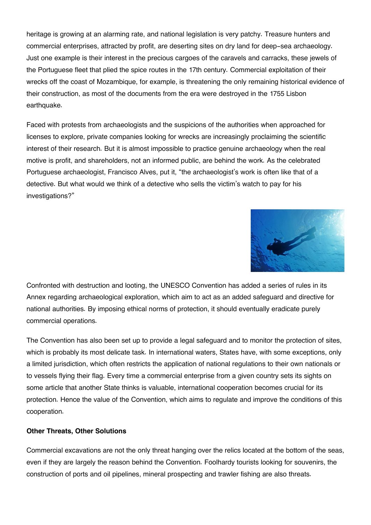heritage is growing at an alarming rate, and national legislation is very patchy. Treasure hunters and commercial enterprises, attracted by profit, are deserting sites on dry land for deep-sea archaeology. Just one example is their interest in the precious cargoes of the caravels and carracks, these jewels of the Portuguese fleet that plied the spice routes in the 17th century. Commercial exploitation of their wrecks off the coast of Mozambique, for example, is threatening the only remaining historical evidence of their construction, as most of the documents from the era were destroyed in the 1755 Lisbon earthquake.

Faced with protests from archaeologists and the suspicions of the authorities when approached for licenses to explore, private companies looking for wrecks are increasingly proclaiming the scientific interest of their research. But it is almost impossible to practice genuine archaeology when the real motive is profit, and shareholders, not an informed public, are behind the work. As the celebrated Portuguese archaeologist, Francisco Alves, put it, "the archaeologist's work is often like that of a detective. But what would we think of a detective who sells the victim's watch to pay for his investigations?"



Confronted with destruction and looting, the UNESCO Convention has added a series of rules in its Annex regarding archaeological exploration, which aim to act as an added safeguard and directive for national authorities. By imposing ethical norms of protection, it should eventually eradicate purely commercial operations.

The Convention has also been set up to provide a legal safeguard and to monitor the protection of sites, which is probably its most delicate task. In international waters, States have, with some exceptions, only a limited jurisdiction, which often restricts the application of national regulations to their own nationals or to vessels flying their flag. Every time a commercial enterprise from a given country sets its sights on some article that another State thinks is valuable, international cooperation becomes crucial for its protection. Hence the value of the Convention, which aims to regulate and improve the conditions of this cooperation.

### **Other Threats, Other Solutions**

Commercial excavations are not the only threat hanging over the relics located at the bottom of the seas, even if they are largely the reason behind the Convention. Foolhardy tourists looking for souvenirs, the construction of ports and oil pipelines, mineral prospecting and trawler fishing are also threats.